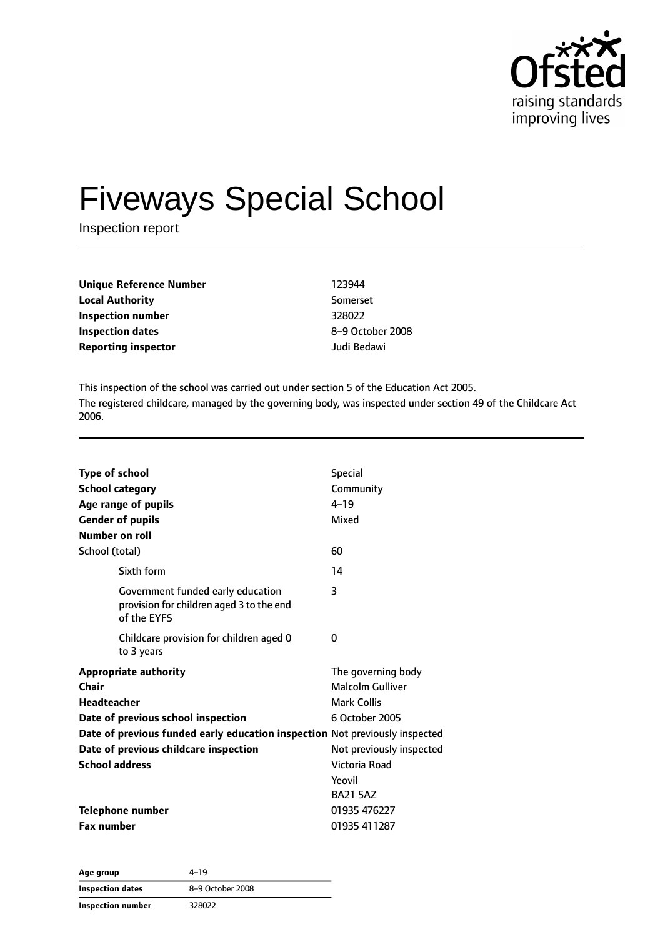

# Fiveways Special School

Inspection report

| <b>Unique Reference Number</b> | 123944      |
|--------------------------------|-------------|
| <b>Local Authority</b>         | Somers      |
| Inspection number              | 328022      |
| Inspection dates               | $8 - 9$ Oct |
| <b>Reporting inspector</b>     | Judi Be     |

**Local Authority** Somerset **Inspection dates** 8–9 October 2008 **Reporting inspector** Judi Bedawi

This inspection of the school was carried out under section 5 of the Education Act 2005. The registered childcare, managed by the governing body, was inspected under section 49 of the Childcare Act 2006.

| Type of school<br><b>School category</b><br>Age range of pupils<br><b>Gender of pupils</b><br>Number on roll                                                                                                                                       | <b>Special</b><br>Community<br>$4 - 19$<br>Mixed                                                                                                         |
|----------------------------------------------------------------------------------------------------------------------------------------------------------------------------------------------------------------------------------------------------|----------------------------------------------------------------------------------------------------------------------------------------------------------|
| School (total)                                                                                                                                                                                                                                     | 60                                                                                                                                                       |
| Sixth form                                                                                                                                                                                                                                         | 14                                                                                                                                                       |
| Government funded early education<br>provision for children aged 3 to the end<br>of the EYFS                                                                                                                                                       | 3                                                                                                                                                        |
| Childcare provision for children aged 0<br>to 3 years                                                                                                                                                                                              | 0                                                                                                                                                        |
| <b>Appropriate authority</b><br>Chair<br><b>Headteacher</b><br>Date of previous school inspection<br>Date of previous funded early education inspection Not previously inspected<br>Date of previous childcare inspection<br><b>School address</b> | The governing body<br>Malcolm Gulliver<br><b>Mark Collis</b><br>6 October 2005<br>Not previously inspected<br>Victoria Road<br>Yeovil<br><b>BA21 5AZ</b> |
| <b>Telephone number</b>                                                                                                                                                                                                                            | 01935 476227                                                                                                                                             |
| <b>Fax number</b>                                                                                                                                                                                                                                  | 01935 411287                                                                                                                                             |

**Age group** 4–19 **Inspection dates** 8–9 October 2008 **Inspection number** 328022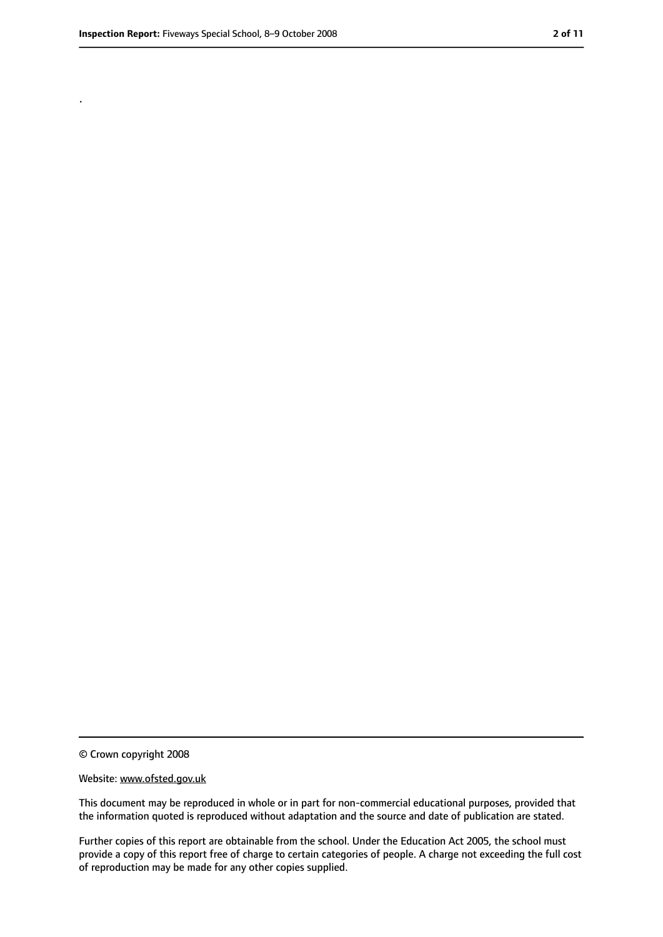.

<sup>©</sup> Crown copyright 2008

Website: www.ofsted.gov.uk

This document may be reproduced in whole or in part for non-commercial educational purposes, provided that the information quoted is reproduced without adaptation and the source and date of publication are stated.

Further copies of this report are obtainable from the school. Under the Education Act 2005, the school must provide a copy of this report free of charge to certain categories of people. A charge not exceeding the full cost of reproduction may be made for any other copies supplied.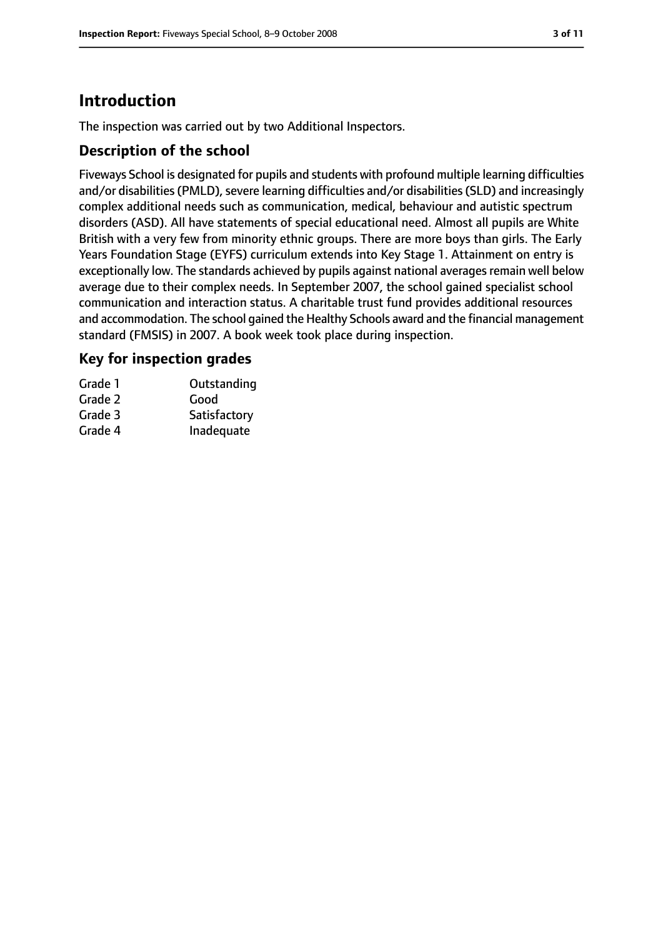# **Introduction**

The inspection was carried out by two Additional Inspectors.

## **Description of the school**

Fiveways School is designated for pupils and students with profound multiple learning difficulties and/or disabilities (PMLD), severe learning difficulties and/or disabilities (SLD) and increasingly complex additional needs such as communication, medical, behaviour and autistic spectrum disorders (ASD). All have statements of special educational need. Almost all pupils are White British with a very few from minority ethnic groups. There are more boys than girls. The Early Years Foundation Stage (EYFS) curriculum extends into Key Stage 1. Attainment on entry is exceptionally low. The standards achieved by pupils against national averages remain well below average due to their complex needs. In September 2007, the school gained specialist school communication and interaction status. A charitable trust fund provides additional resources and accommodation. The school gained the Healthy Schools award and the financial management standard (FMSIS) in 2007. A book week took place during inspection.

## **Key for inspection grades**

| Grade 1 | Outstanding  |
|---------|--------------|
| Grade 2 | Good         |
| Grade 3 | Satisfactory |
| Grade 4 | Inadequate   |
|         |              |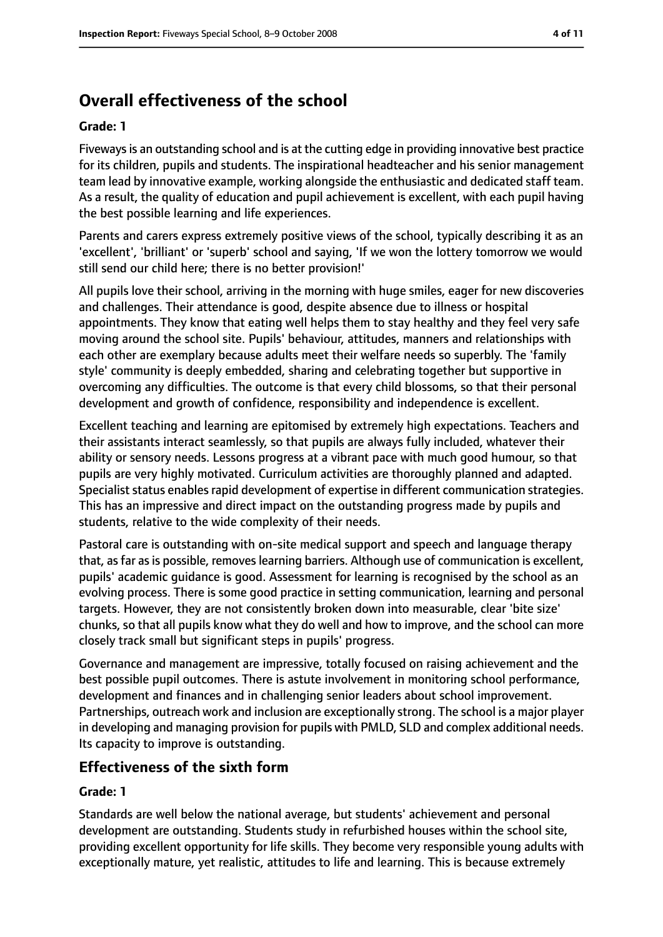# **Overall effectiveness of the school**

#### **Grade: 1**

Fiveways is an outstanding school and is at the cutting edge in providing innovative best practice for its children, pupils and students. The inspirational headteacher and his senior management team lead by innovative example, working alongside the enthusiastic and dedicated staff team. As a result, the quality of education and pupil achievement is excellent, with each pupil having the best possible learning and life experiences.

Parents and carers express extremely positive views of the school, typically describing it as an 'excellent', 'brilliant' or 'superb' school and saying, 'If we won the lottery tomorrow we would still send our child here; there is no better provision!'

All pupils love their school, arriving in the morning with huge smiles, eager for new discoveries and challenges. Their attendance is good, despite absence due to illness or hospital appointments. They know that eating well helps them to stay healthy and they feel very safe moving around the school site. Pupils' behaviour, attitudes, manners and relationships with each other are exemplary because adults meet their welfare needs so superbly. The 'family style' community is deeply embedded, sharing and celebrating together but supportive in overcoming any difficulties. The outcome is that every child blossoms, so that their personal development and growth of confidence, responsibility and independence is excellent.

Excellent teaching and learning are epitomised by extremely high expectations. Teachers and their assistants interact seamlessly, so that pupils are always fully included, whatever their ability or sensory needs. Lessons progress at a vibrant pace with much good humour, so that pupils are very highly motivated. Curriculum activities are thoroughly planned and adapted. Specialist status enables rapid development of expertise in different communication strategies. This has an impressive and direct impact on the outstanding progress made by pupils and students, relative to the wide complexity of their needs.

Pastoral care is outstanding with on-site medical support and speech and language therapy that, as far as is possible, removes learning barriers. Although use of communication is excellent, pupils' academic guidance is good. Assessment for learning is recognised by the school as an evolving process. There is some good practice in setting communication, learning and personal targets. However, they are not consistently broken down into measurable, clear 'bite size' chunks, so that all pupils know what they do well and how to improve, and the school can more closely track small but significant steps in pupils' progress.

Governance and management are impressive, totally focused on raising achievement and the best possible pupil outcomes. There is astute involvement in monitoring school performance, development and finances and in challenging senior leaders about school improvement. Partnerships, outreach work and inclusion are exceptionally strong. The school is a major player in developing and managing provision for pupils with PMLD, SLD and complex additional needs. Its capacity to improve is outstanding.

## **Effectiveness of the sixth form**

#### **Grade: 1**

Standards are well below the national average, but students' achievement and personal development are outstanding. Students study in refurbished houses within the school site, providing excellent opportunity for life skills. They become very responsible young adults with exceptionally mature, yet realistic, attitudes to life and learning. This is because extremely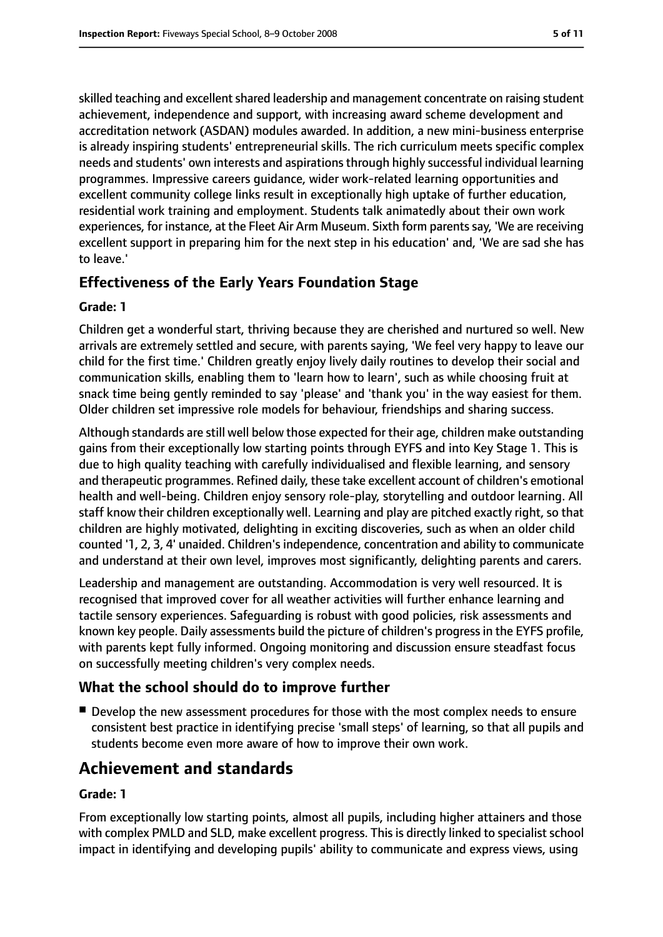skilled teaching and excellent shared leadership and management concentrate on raising student achievement, independence and support, with increasing award scheme development and accreditation network (ASDAN) modules awarded. In addition, a new mini-business enterprise is already inspiring students' entrepreneurial skills. The rich curriculum meets specific complex needs and students' own interests and aspirationsthrough highly successful individual learning programmes. Impressive careers guidance, wider work-related learning opportunities and excellent community college links result in exceptionally high uptake of further education, residential work training and employment. Students talk animatedly about their own work experiences, for instance, at the Fleet Air Arm Museum. Sixth form parentssay, 'We are receiving excellent support in preparing him for the next step in his education' and, 'We are sad she has to leave.'

## **Effectiveness of the Early Years Foundation Stage**

#### **Grade: 1**

Children get a wonderful start, thriving because they are cherished and nurtured so well. New arrivals are extremely settled and secure, with parents saying, 'We feel very happy to leave our child for the first time.' Children greatly enjoy lively daily routines to develop their social and communication skills, enabling them to 'learn how to learn', such as while choosing fruit at snack time being gently reminded to say 'please' and 'thank you' in the way easiest for them. Older children set impressive role models for behaviour, friendships and sharing success.

Although standards are still well below those expected for their age, children make outstanding gains from their exceptionally low starting points through EYFS and into Key Stage 1. This is due to high quality teaching with carefully individualised and flexible learning, and sensory and therapeutic programmes. Refined daily, these take excellent account of children's emotional health and well-being. Children enjoy sensory role-play, storytelling and outdoor learning. All staff know their children exceptionally well. Learning and play are pitched exactly right, so that children are highly motivated, delighting in exciting discoveries, such as when an older child counted '1, 2, 3, 4' unaided. Children'sindependence, concentration and ability to communicate and understand at their own level, improves most significantly, delighting parents and carers.

Leadership and management are outstanding. Accommodation is very well resourced. It is recognised that improved cover for all weather activities will further enhance learning and tactile sensory experiences. Safeguarding is robust with good policies, risk assessments and known key people. Daily assessments build the picture of children's progressin the EYFS profile, with parents kept fully informed. Ongoing monitoring and discussion ensure steadfast focus on successfully meeting children's very complex needs.

## **What the school should do to improve further**

■ Develop the new assessment procedures for those with the most complex needs to ensure consistent best practice in identifying precise 'small steps' of learning, so that all pupils and students become even more aware of how to improve their own work.

# **Achievement and standards**

#### **Grade: 1**

From exceptionally low starting points, almost all pupils, including higher attainers and those with complex PMLD and SLD, make excellent progress. This is directly linked to specialist school impact in identifying and developing pupils' ability to communicate and express views, using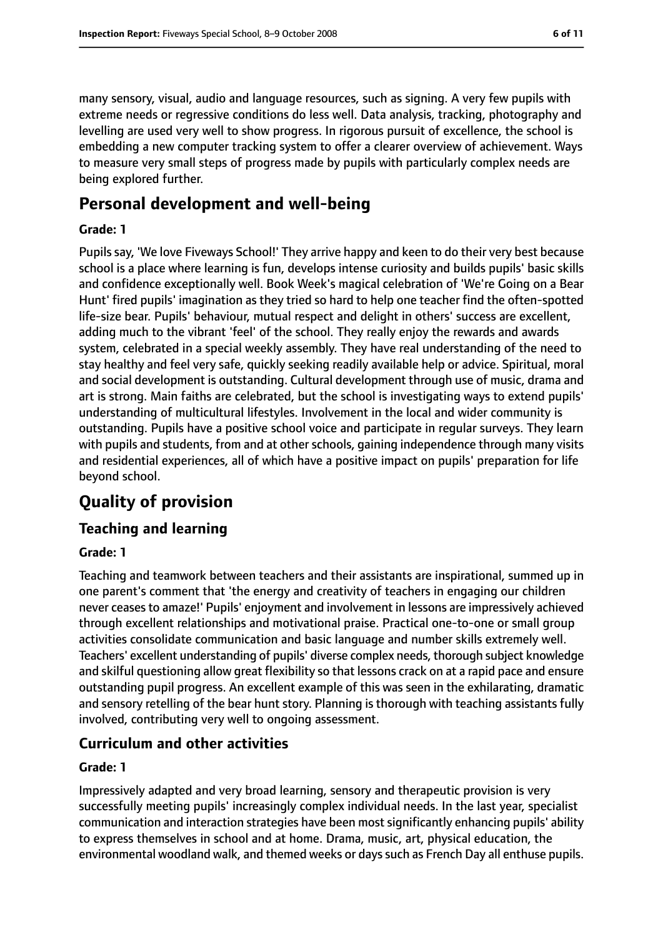many sensory, visual, audio and language resources, such as signing. A very few pupils with extreme needs or regressive conditions do less well. Data analysis, tracking, photography and levelling are used very well to show progress. In rigorous pursuit of excellence, the school is embedding a new computer tracking system to offer a clearer overview of achievement. Ways to measure very small steps of progress made by pupils with particularly complex needs are being explored further.

# **Personal development and well-being**

#### **Grade: 1**

Pupils say, 'We love Fiveways School!' They arrive happy and keen to do their very best because school is a place where learning is fun, develops intense curiosity and builds pupils' basic skills and confidence exceptionally well. Book Week's magical celebration of 'We're Going on a Bear Hunt' fired pupils' imagination as they tried so hard to help one teacher find the often-spotted life-size bear. Pupils' behaviour, mutual respect and delight in others' success are excellent, adding much to the vibrant 'feel' of the school. They really enjoy the rewards and awards system, celebrated in a special weekly assembly. They have real understanding of the need to stay healthy and feel very safe, quickly seeking readily available help or advice. Spiritual, moral and social development is outstanding. Cultural development through use of music, drama and art is strong. Main faiths are celebrated, but the school is investigating ways to extend pupils' understanding of multicultural lifestyles. Involvement in the local and wider community is outstanding. Pupils have a positive school voice and participate in regular surveys. They learn with pupils and students, from and at other schools, gaining independence through many visits and residential experiences, all of which have a positive impact on pupils' preparation for life beyond school.

# **Quality of provision**

## **Teaching and learning**

#### **Grade: 1**

Teaching and teamwork between teachers and their assistants are inspirational, summed up in one parent's comment that 'the energy and creativity of teachers in engaging our children never ceases to amaze!' Pupils' enjoyment and involvement in lessons are impressively achieved through excellent relationships and motivational praise. Practical one-to-one or small group activities consolidate communication and basic language and number skills extremely well. Teachers' excellent understanding of pupils' diverse complex needs, thorough subject knowledge and skilful questioning allow great flexibility so that lessons crack on at a rapid pace and ensure outstanding pupil progress. An excellent example of this was seen in the exhilarating, dramatic and sensory retelling of the bear hunt story. Planning is thorough with teaching assistants fully involved, contributing very well to ongoing assessment.

## **Curriculum and other activities**

#### **Grade: 1**

Impressively adapted and very broad learning, sensory and therapeutic provision is very successfully meeting pupils' increasingly complex individual needs. In the last year, specialist communication and interaction strategies have been most significantly enhancing pupils' ability to express themselves in school and at home. Drama, music, art, physical education, the environmental woodland walk, and themed weeks or days such as French Day all enthuse pupils.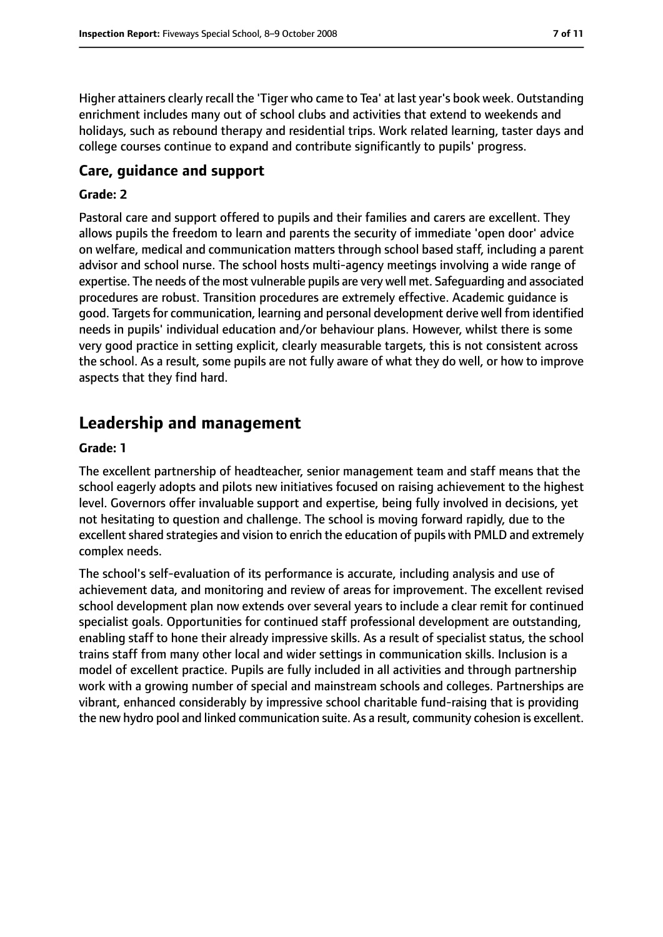Higher attainers clearly recall the 'Tiger who came to Tea' at last year's book week. Outstanding enrichment includes many out of school clubs and activities that extend to weekends and holidays, such as rebound therapy and residential trips. Work related learning, taster days and college courses continue to expand and contribute significantly to pupils' progress.

#### **Care, guidance and support**

#### **Grade: 2**

Pastoral care and support offered to pupils and their families and carers are excellent. They allows pupils the freedom to learn and parents the security of immediate 'open door' advice on welfare, medical and communication matters through school based staff, including a parent advisor and school nurse. The school hosts multi-agency meetings involving a wide range of expertise. The needs of the most vulnerable pupils are very well met. Safeguarding and associated procedures are robust. Transition procedures are extremely effective. Academic guidance is good. Targets for communication, learning and personal development derive well from identified needs in pupils' individual education and/or behaviour plans. However, whilst there is some very good practice in setting explicit, clearly measurable targets, this is not consistent across the school. As a result, some pupils are not fully aware of what they do well, or how to improve aspects that they find hard.

## **Leadership and management**

#### **Grade: 1**

The excellent partnership of headteacher, senior management team and staff means that the school eagerly adopts and pilots new initiatives focused on raising achievement to the highest level. Governors offer invaluable support and expertise, being fully involved in decisions, yet not hesitating to question and challenge. The school is moving forward rapidly, due to the excellent shared strategies and vision to enrich the education of pupils with PMLD and extremely complex needs.

The school's self-evaluation of its performance is accurate, including analysis and use of achievement data, and monitoring and review of areas for improvement. The excellent revised school development plan now extends over several years to include a clear remit for continued specialist goals. Opportunities for continued staff professional development are outstanding, enabling staff to hone their already impressive skills. As a result of specialist status, the school trains staff from many other local and wider settings in communication skills. Inclusion is a model of excellent practice. Pupils are fully included in all activities and through partnership work with a growing number of special and mainstream schools and colleges. Partnerships are vibrant, enhanced considerably by impressive school charitable fund-raising that is providing the new hydro pool and linked communication suite. As a result, community cohesion is excellent.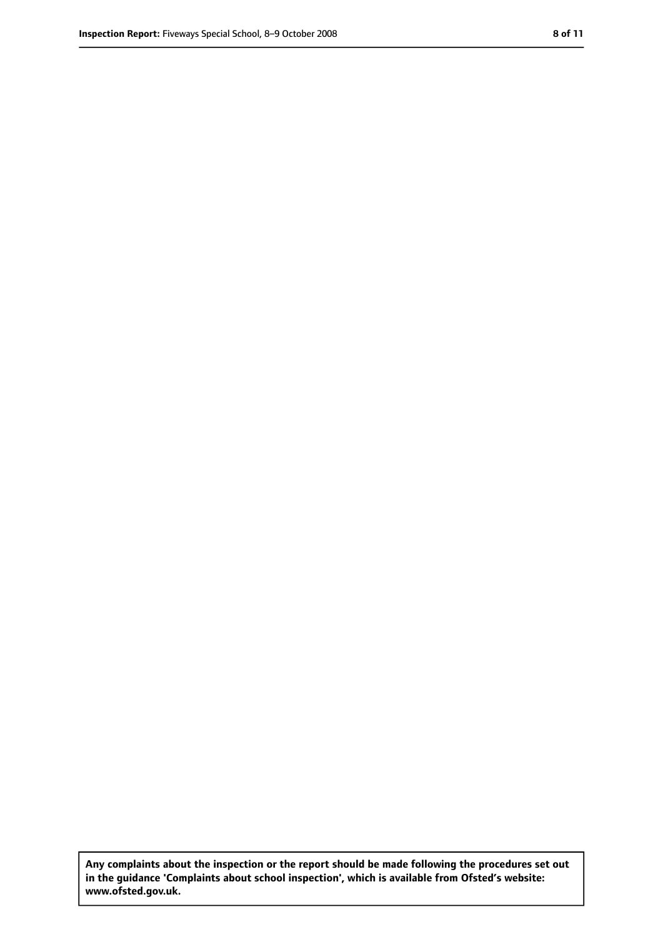**Any complaints about the inspection or the report should be made following the procedures set out in the guidance 'Complaints about school inspection', which is available from Ofsted's website: www.ofsted.gov.uk.**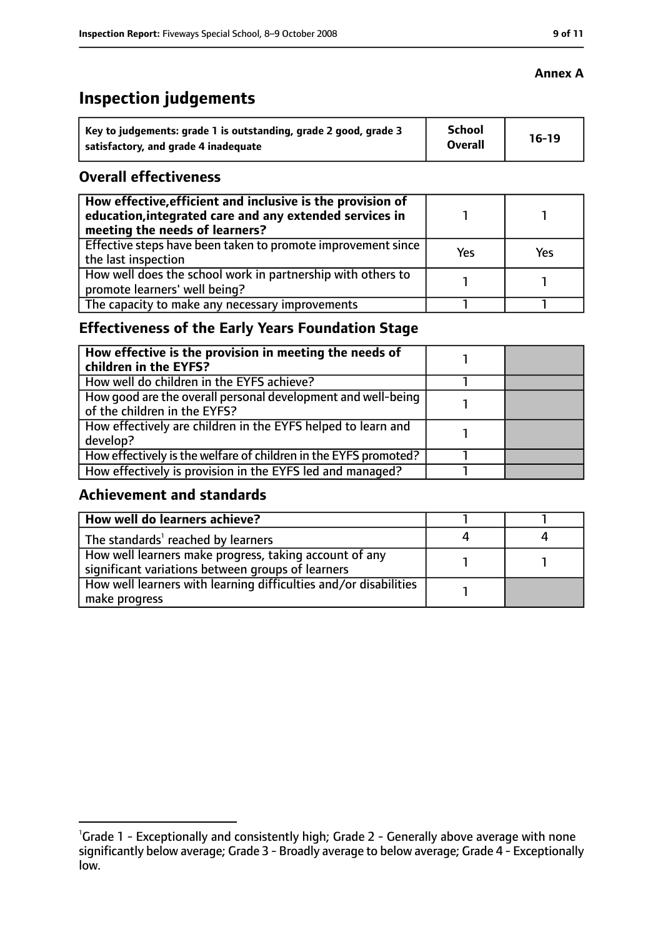# **Inspection judgements**

| $\dot{ }$ Key to judgements: grade 1 is outstanding, grade 2 good, grade 3 | <b>School</b><br><b>Overall</b> | $16-19$ |
|----------------------------------------------------------------------------|---------------------------------|---------|
| satisfactory, and grade 4 inadequate                                       |                                 |         |

## **Overall effectiveness**

| How effective, efficient and inclusive is the provision of<br>education, integrated care and any extended services in<br>meeting the needs of learners? |     |     |
|---------------------------------------------------------------------------------------------------------------------------------------------------------|-----|-----|
| Effective steps have been taken to promote improvement since<br>the last inspection                                                                     | Yes | Yes |
| How well does the school work in partnership with others to<br>promote learners' well being?                                                            |     |     |
| The capacity to make any necessary improvements                                                                                                         |     |     |

## **Effectiveness of the Early Years Foundation Stage**

| How effective is the provision in meeting the needs of<br>children in the EYFS?              |  |
|----------------------------------------------------------------------------------------------|--|
| How well do children in the EYFS achieve?                                                    |  |
| How good are the overall personal development and well-being<br>of the children in the EYFS? |  |
| How effectively are children in the EYFS helped to learn and<br>develop?                     |  |
| How effectively is the welfare of children in the EYFS promoted?                             |  |
| How effectively is provision in the EYFS led and managed?                                    |  |

## **Achievement and standards**

| How well do learners achieve?                                                                               |  |
|-------------------------------------------------------------------------------------------------------------|--|
| The standards <sup>1</sup> reached by learners                                                              |  |
| How well learners make progress, taking account of any<br>significant variations between groups of learners |  |
| How well learners with learning difficulties and/or disabilities<br>make progress                           |  |

# **Annex A**

<sup>&</sup>lt;sup>1</sup>Grade 1 - Exceptionally and consistently high; Grade 2 - Generally above average with none significantly below average; Grade 3 - Broadly average to below average; Grade 4 - Exceptionally low.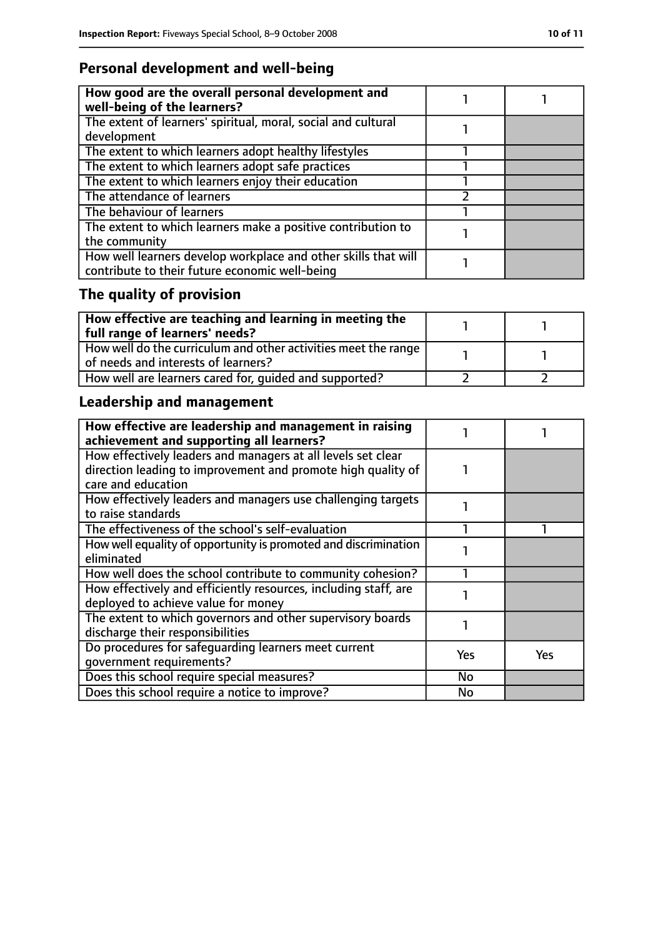# **Personal development and well-being**

| How good are the overall personal development and<br>well-being of the learners? |  |
|----------------------------------------------------------------------------------|--|
| The extent of learners' spiritual, moral, social and cultural                    |  |
| development                                                                      |  |
| The extent to which learners adopt healthy lifestyles                            |  |
| The extent to which learners adopt safe practices                                |  |
| The extent to which learners enjoy their education                               |  |
| The attendance of learners                                                       |  |
| The behaviour of learners                                                        |  |
| The extent to which learners make a positive contribution to                     |  |
| the community                                                                    |  |
| How well learners develop workplace and other skills that will                   |  |
| contribute to their future economic well-being                                   |  |

# **The quality of provision**

| How effective are teaching and learning in meeting the<br>full range of learners' needs?                |  |
|---------------------------------------------------------------------------------------------------------|--|
| How well do the curriculum and other activities meet the range  <br>of needs and interests of learners? |  |
| How well are learners cared for, quided and supported?                                                  |  |

# **Leadership and management**

| How effective are leadership and management in raising<br>achievement and supporting all learners?                                                 |     |     |
|----------------------------------------------------------------------------------------------------------------------------------------------------|-----|-----|
| How effectively leaders and managers at all levels set clear<br>direction leading to improvement and promote high quality of<br>care and education |     |     |
| How effectively leaders and managers use challenging targets<br>to raise standards                                                                 |     |     |
| The effectiveness of the school's self-evaluation                                                                                                  |     |     |
| How well equality of opportunity is promoted and discrimination<br>eliminated                                                                      |     |     |
| How well does the school contribute to community cohesion?                                                                                         |     |     |
| How effectively and efficiently resources, including staff, are<br>deployed to achieve value for money                                             |     |     |
| The extent to which governors and other supervisory boards<br>discharge their responsibilities                                                     |     |     |
| Do procedures for safequarding learners meet current<br>qovernment requirements?                                                                   | Yes | Yes |
| Does this school require special measures?                                                                                                         | No  |     |
| Does this school require a notice to improve?                                                                                                      | No  |     |